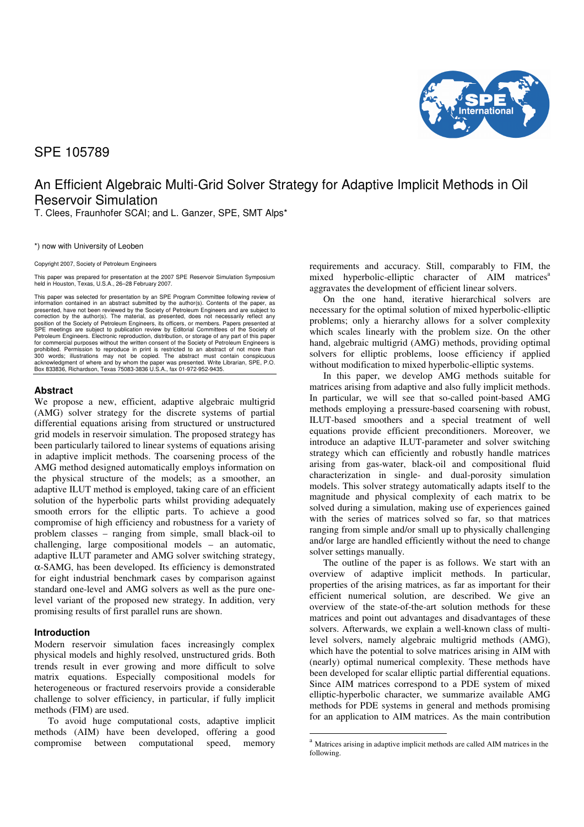

## SPE 105789

# An Efficient Algebraic Multi-Grid Solver Strategy for Adaptive Implicit Methods in Oil Reservoir Simulation

T. Clees, Fraunhofer SCAI; and L. Ganzer, SPE, SMT Alps\*

\*) now with University of Leoben

Copyright 2007, Society of Petroleum Engineers

This paper was prepared for presentation at the 2007 SPE Reservoir Simulation Symposium held in Houston, Texas, U.S.A., 26–28 February 2007.

This paper was selected for presentation by an SPE Program Committee following review of information contained in an abstract submitted by the author(s). Contents of the paper, as<br>presented, have not been reviewed by the Society of Petroleum Engineers and are subject to<br>correction by the author(s). The materia position of the Society of Petroleum Engineers, its officers, or members. Papers presented at<br>SPE meetings are subject to publication review by Editorial Committees of the Society of<br>Petroleum Engineers. Electronic reprodu prohibited. Permission to reproduce in print is restricted to an abstract of not more than 300 words; illustrations may not be copied. The abstract must contain conspicuous acknowledgment of where and by whom the paper was presented. Write Librarian, SPE, P.O. Box 833836, Richardson, Texas 75083-3836 U.S.A., fax 01-972-952-9435.

## **Abstract**

We propose a new, efficient, adaptive algebraic multigrid (AMG) solver strategy for the discrete systems of partial differential equations arising from structured or unstructured grid models in reservoir simulation. The proposed strategy has been particularly tailored to linear systems of equations arising in adaptive implicit methods. The coarsening process of the AMG method designed automatically employs information on the physical structure of the models; as a smoother, an adaptive ILUT method is employed, taking care of an efficient solution of the hyperbolic parts whilst providing adequately smooth errors for the elliptic parts. To achieve a good compromise of high efficiency and robustness for a variety of problem classes – ranging from simple, small black-oil to challenging, large compositional models – an automatic, adaptive ILUT parameter and AMG solver switching strategy, α-SAMG, has been developed. Its efficiency is demonstrated for eight industrial benchmark cases by comparison against standard one-level and AMG solvers as well as the pure onelevel variant of the proposed new strategy. In addition, very promising results of first parallel runs are shown.

## **Introduction**

Modern reservoir simulation faces increasingly complex physical models and highly resolved, unstructured grids. Both trends result in ever growing and more difficult to solve matrix equations. Especially compositional models for heterogeneous or fractured reservoirs provide a considerable challenge to solver efficiency, in particular, if fully implicit methods (FIM) are used.

To avoid huge computational costs, adaptive implicit methods (AIM) have been developed, offering a good compromise between computational speed, memory requirements and accuracy. Still, comparably to FIM, the mixed hyperbolic-elliptic character of AIM matrices<sup>a</sup> aggravates the development of efficient linear solvers.

On the one hand, iterative hierarchical solvers are necessary for the optimal solution of mixed hyperbolic-elliptic problems; only a hierarchy allows for a solver complexity which scales linearly with the problem size. On the other hand, algebraic multigrid (AMG) methods, providing optimal solvers for elliptic problems, loose efficiency if applied without modification to mixed hyperbolic-elliptic systems.

In this paper, we develop AMG methods suitable for matrices arising from adaptive and also fully implicit methods. In particular, we will see that so-called point-based AMG methods employing a pressure-based coarsening with robust, ILUT-based smoothers and a special treatment of well equations provide efficient preconditioners. Moreover, we introduce an adaptive ILUT-parameter and solver switching strategy which can efficiently and robustly handle matrices arising from gas-water, black-oil and compositional fluid characterization in single- and dual-porosity simulation models. This solver strategy automatically adapts itself to the magnitude and physical complexity of each matrix to be solved during a simulation, making use of experiences gained with the series of matrices solved so far, so that matrices ranging from simple and/or small up to physically challenging and/or large are handled efficiently without the need to change solver settings manually.

The outline of the paper is as follows. We start with an overview of adaptive implicit methods. In particular, properties of the arising matrices, as far as important for their efficient numerical solution, are described. We give an overview of the state-of-the-art solution methods for these matrices and point out advantages and disadvantages of these solvers. Afterwards, we explain a well-known class of multilevel solvers, namely algebraic multigrid methods (AMG), which have the potential to solve matrices arising in AIM with (nearly) optimal numerical complexity. These methods have been developed for scalar elliptic partial differential equations. Since AIM matrices correspond to a PDE system of mixed elliptic-hyperbolic character, we summarize available AMG methods for PDE systems in general and methods promising for an application to AIM matrices. As the main contribution

 $\overline{a}$ 

 $a<sup>a</sup>$  Matrices arising in adaptive implicit methods are called AIM matrices in the following.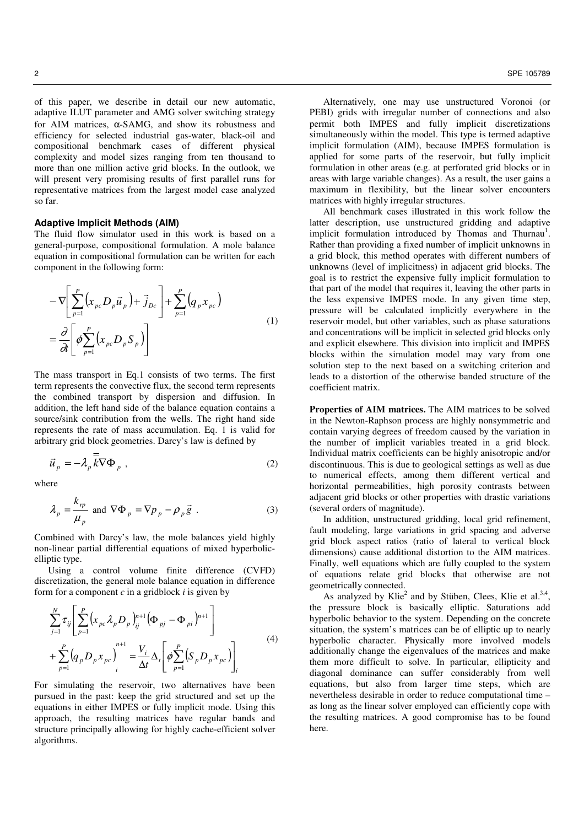of this paper, we describe in detail our new automatic, adaptive ILUT parameter and AMG solver switching strategy for AIM matrices,  $\alpha$ -SAMG, and show its robustness and efficiency for selected industrial gas-water, black-oil and compositional benchmark cases of different physical complexity and model sizes ranging from ten thousand to more than one million active grid blocks. In the outlook, we will present very promising results of first parallel runs for representative matrices from the largest model case analyzed so far.

### **Adaptive Implicit Methods (AIM)**

The fluid flow simulator used in this work is based on a general-purpose, compositional formulation. A mole balance equation in compositional formulation can be written for each component in the following form:

$$
-\nabla \left[\sum_{p=1}^{P} \left(x_{pc} D_{p} \vec{u}_{p}\right) + \vec{j}_{pc}\right] + \sum_{p=1}^{P} \left(q_{p} x_{pc}\right)
$$
  

$$
=\frac{\partial}{\partial t} \left[\phi \sum_{p=1}^{P} \left(x_{pc} D_{p} S_{p}\right)\right]
$$
 (1)

The mass transport in Eq.1 consists of two terms. The first term represents the convective flux, the second term represents the combined transport by dispersion and diffusion. In addition, the left hand side of the balance equation contains a source/sink contribution from the wells. The right hand side represents the rate of mass accumulation. Eq. 1 is valid for arbitrary grid block geometries. Darcy's law is defined by

$$
\vec{u}_p = -\lambda_p \overline{\overline{k}} \nabla \Phi_p , \qquad (2)
$$

where

$$
\lambda_p = \frac{k_{rp}}{\mu_p} \text{ and } \nabla \Phi_p = \nabla p_p - \rho_p \vec{g} \tag{3}
$$

Combined with Darcy's law, the mole balances yield highly non-linear partial differential equations of mixed hyperbolicelliptic type.

Using a control volume finite difference (CVFD) discretization, the general mole balance equation in difference form for a component *c* in a gridblock *i* is given by

$$
\sum_{j=1}^{N} \tau_{ij} \left[ \sum_{p=1}^{P} \left( x_{pc} \lambda_{p} D_{p} \right)_{ij}^{n+1} \left( \Phi_{pj} - \Phi_{pi} \right)^{n+1} \right] + \sum_{p=1}^{P} \left( q_{p} D_{p} x_{pc} \right)_{i}^{n+1} = \frac{V_{i}}{\Delta t} \Delta_{i} \left[ \phi \sum_{p=1}^{P} \left( S_{p} D_{p} x_{pc} \right) \right]_{i} \tag{4}
$$

For simulating the reservoir, two alternatives have been pursued in the past: keep the grid structured and set up the equations in either IMPES or fully implicit mode. Using this approach, the resulting matrices have regular bands and structure principally allowing for highly cache-efficient solver algorithms.

Alternatively, one may use unstructured Voronoi (or PEBI) grids with irregular number of connections and also permit both IMPES and fully implicit discretizations simultaneously within the model. This type is termed adaptive implicit formulation (AIM), because IMPES formulation is applied for some parts of the reservoir, but fully implicit formulation in other areas (e.g. at perforated grid blocks or in areas with large variable changes). As a result, the user gains a maximum in flexibility, but the linear solver encounters matrices with highly irregular structures.

All benchmark cases illustrated in this work follow the latter description, use unstructured gridding and adaptive implicit formulation introduced by Thomas and Thurnau<sup>1</sup>. Rather than providing a fixed number of implicit unknowns in a grid block, this method operates with different numbers of unknowns (level of implicitness) in adjacent grid blocks. The goal is to restrict the expensive fully implicit formulation to that part of the model that requires it, leaving the other parts in the less expensive IMPES mode. In any given time step, pressure will be calculated implicitly everywhere in the reservoir model, but other variables, such as phase saturations and concentrations will be implicit in selected grid blocks only and explicit elsewhere. This division into implicit and IMPES blocks within the simulation model may vary from one solution step to the next based on a switching criterion and leads to a distortion of the otherwise banded structure of the coefficient matrix.

**Properties of AIM matrices.** The AIM matrices to be solved in the Newton-Raphson process are highly nonsymmetric and contain varying degrees of freedom caused by the variation in the number of implicit variables treated in a grid block. Individual matrix coefficients can be highly anisotropic and/or discontinuous. This is due to geological settings as well as due to numerical effects, among them different vertical and horizontal permeabilities, high porosity contrasts between adjacent grid blocks or other properties with drastic variations (several orders of magnitude).

In addition, unstructured gridding, local grid refinement, fault modeling, large variations in grid spacing and adverse grid block aspect ratios (ratio of lateral to vertical block dimensions) cause additional distortion to the AIM matrices. Finally, well equations which are fully coupled to the system of equations relate grid blocks that otherwise are not geometrically connected.

As analyzed by Klie<sup>2</sup> and by Stüben, Clees, Klie et al.<sup>3,4</sup>, the pressure block is basically elliptic. Saturations add hyperbolic behavior to the system. Depending on the concrete situation, the system's matrices can be of elliptic up to nearly hyperbolic character. Physically more involved models additionally change the eigenvalues of the matrices and make them more difficult to solve. In particular, ellipticity and diagonal dominance can suffer considerably from well equations, but also from larger time steps, which are nevertheless desirable in order to reduce computational time – as long as the linear solver employed can efficiently cope with the resulting matrices. A good compromise has to be found here.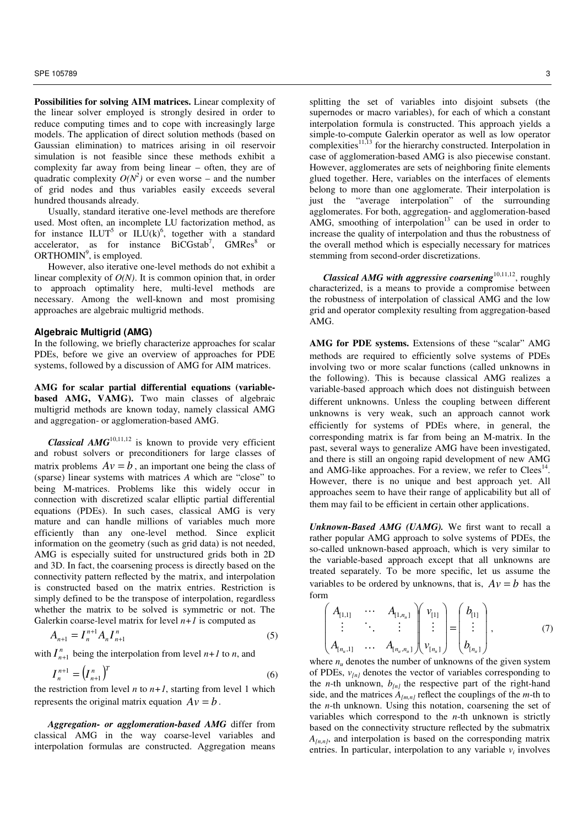**Possibilities for solving AIM matrices.** Linear complexity of the linear solver employed is strongly desired in order to reduce computing times and to cope with increasingly large models. The application of direct solution methods (based on Gaussian elimination) to matrices arising in oil reservoir simulation is not feasible since these methods exhibit a complexity far away from being linear – often, they are of quadratic complexity  $O(N^2)$  or even worse – and the number of grid nodes and thus variables easily exceeds several hundred thousands already.

Usually, standard iterative one-level methods are therefore used. Most often, an incomplete LU factorization method, as for instance ILUT<sup>5</sup> or ILU(k)<sup>6</sup>, together with a standard accelerator, as for instance  $BiCGstab^7$ ,  $GMRes^8$  or ORTHOMIN<sup>9</sup>, is employed.

However, also iterative one-level methods do not exhibit a linear complexity of *O(N)*. It is common opinion that, in order to approach optimality here, multi-level methods are necessary. Among the well-known and most promising approaches are algebraic multigrid methods.

#### **Algebraic Multigrid (AMG)**

In the following, we briefly characterize approaches for scalar PDEs, before we give an overview of approaches for PDE systems, followed by a discussion of AMG for AIM matrices.

**AMG for scalar partial differential equations (variablebased AMG, VAMG).** Two main classes of algebraic multigrid methods are known today, namely classical AMG and aggregation- or agglomeration-based AMG.

*Classical AMG*<sup>10,11,12</sup> is known to provide very efficient and robust solvers or preconditioners for large classes of matrix problems  $Av = b$ , an important one being the class of (sparse) linear systems with matrices *A* which are "close" to being M-matrices. Problems like this widely occur in connection with discretized scalar elliptic partial differential equations (PDEs). In such cases, classical AMG is very mature and can handle millions of variables much more efficiently than any one-level method. Since explicit information on the geometry (such as grid data) is not needed, AMG is especially suited for unstructured grids both in 2D and 3D. In fact, the coarsening process is directly based on the connectivity pattern reflected by the matrix, and interpolation is constructed based on the matrix entries. Restriction is simply defined to be the transpose of interpolation, regardless whether the matrix to be solved is symmetric or not. The Galerkin coarse-level matrix for level  $n+1$  is computed as

$$
A_{n+1} = I_n^{n+1} A_n I_{n+1}^n \tag{5}
$$

with  $I_{n+1}^n$  being the interpolation from level  $n+1$  to *n*, and

$$
I_n^{n+1} = \left(I_{n+1}^n\right)^T \tag{6}
$$

the restriction from level  $n$  to  $n+1$ , starting from level 1 which represents the original matrix equation  $Av = b$ .

*Aggregation- or agglomeration-based AMG* differ from classical AMG in the way coarse-level variables and interpolation formulas are constructed. Aggregation means

splitting the set of variables into disjoint subsets (the supernodes or macro variables), for each of which a constant interpolation formula is constructed. This approach yields a simple-to-compute Galerkin operator as well as low operator complexities $^{11,13}$  for the hierarchy constructed. Interpolation in case of agglomeration-based AMG is also piecewise constant. However, agglomerates are sets of neighboring finite elements glued together. Here, variables on the interfaces of elements belong to more than one agglomerate. Their interpolation is just the "average interpolation" of the surrounding agglomerates. For both, aggregation- and agglomeration-based AMG, smoothing of interpolation $13$  can be used in order to increase the quality of interpolation and thus the robustness of the overall method which is especially necessary for matrices stemming from second-order discretizations.

*Classical AMG with aggressive coarsening*10,11,12, roughly characterized, is a means to provide a compromise between the robustness of interpolation of classical AMG and the low grid and operator complexity resulting from aggregation-based AMG.

**AMG for PDE systems.** Extensions of these "scalar" AMG methods are required to efficiently solve systems of PDEs involving two or more scalar functions (called unknowns in the following). This is because classical AMG realizes a variable-based approach which does not distinguish between different unknowns. Unless the coupling between different unknowns is very weak, such an approach cannot work efficiently for systems of PDEs where, in general, the corresponding matrix is far from being an M-matrix. In the past, several ways to generalize AMG have been investigated, and there is still an ongoing rapid development of new AMG and AMG-like approaches. For a review, we refer to  $Clees<sup>14</sup>$ . However, there is no unique and best approach yet. All approaches seem to have their range of applicability but all of them may fail to be efficient in certain other applications.

*Unknown-Based AMG (UAMG).* We first want to recall a rather popular AMG approach to solve systems of PDEs, the so-called unknown-based approach, which is very similar to the variable-based approach except that all unknowns are treated separately. To be more specific, let us assume the variables to be ordered by unknowns, that is,  $Av = b$  has the form

$$
\begin{pmatrix} A_{[1,1]} & \cdots & A_{[1,n_u]} \\ \vdots & \ddots & \vdots \\ A_{[n_u,1]} & \cdots & A_{[n_u,n_u]} \end{pmatrix} \begin{pmatrix} v_{[1]} \\ \vdots \\ v_{[n_u]} \end{pmatrix} = \begin{pmatrix} b_{[1]} \\ \vdots \\ b_{[n_u]} \end{pmatrix}, \qquad (7)
$$

where  $n<sub>u</sub>$  denotes the number of unknowns of the given system of PDEs,  $v_{fnl}$  denotes the vector of variables corresponding to the *n*-th unknown,  $b_{[n]}$  the respective part of the right-hand side, and the matrices  $A_{[m,n]}$  reflect the couplings of the *m*-th to the *n*-th unknown. Using this notation, coarsening the set of variables which correspond to the *n*-th unknown is strictly based on the connectivity structure reflected by the submatrix *A[n,n]*, and interpolation is based on the corresponding matrix entries. In particular, interpolation to any variable  $v_i$  involves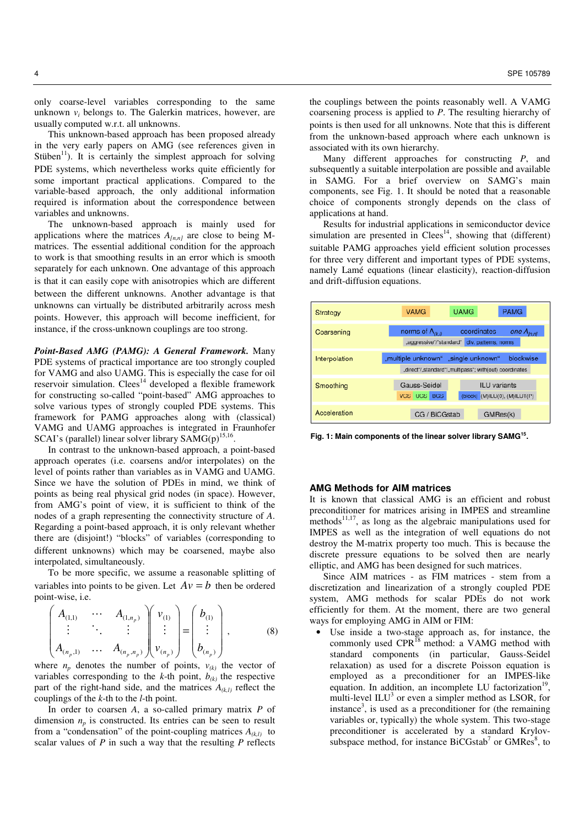only coarse-level variables corresponding to the same unknown  $v_i$  belongs to. The Galerkin matrices, however, are usually computed w.r.t. all unknowns.

This unknown-based approach has been proposed already in the very early papers on AMG (see references given in Stüben $^{11}$ ). It is certainly the simplest approach for solving PDE systems, which nevertheless works quite efficiently for some important practical applications. Compared to the variable-based approach, the only additional information required is information about the correspondence between variables and unknowns.

The unknown-based approach is mainly used for applications where the matrices  $A_{[n,n]}$  are close to being Mmatrices. The essential additional condition for the approach to work is that smoothing results in an error which is smooth separately for each unknown. One advantage of this approach is that it can easily cope with anisotropies which are different between the different unknowns. Another advantage is that unknowns can virtually be distributed arbitrarily across mesh points. However, this approach will become inefficient, for instance, if the cross-unknown couplings are too strong.

*Point-Based AMG (PAMG): A General Framework.* Many PDE systems of practical importance are too strongly coupled for VAMG and also UAMG. This is especially the case for oil reservoir simulation. Clees<sup>14</sup> developed a flexible framework for constructing so-called "point-based" AMG approaches to solve various types of strongly coupled PDE systems. This framework for PAMG approaches along with (classical) VAMG and UAMG approaches is integrated in Fraunhofer SCAI's (parallel) linear solver library  $SAMG(p)^{15,16}$ .

In contrast to the unknown-based approach, a point-based approach operates (i.e. coarsens and/or interpolates) on the level of points rather than variables as in VAMG and UAMG. Since we have the solution of PDEs in mind, we think of points as being real physical grid nodes (in space). However, from AMG's point of view, it is sufficient to think of the nodes of a graph representing the connectivity structure of *A*. Regarding a point-based approach, it is only relevant whether there are (disjoint!) "blocks" of variables (corresponding to different unknowns) which may be coarsened, maybe also interpolated, simultaneously.

To be more specific, we assume a reasonable splitting of variables into points to be given. Let  $Av = b$  then be ordered point-wise, i.e.

$$
\begin{pmatrix} A_{(1,1)} & \cdots & A_{(1,n_p)} \\ \vdots & \ddots & \vdots \\ A_{(n_p,1)} & \cdots & A_{(n_p,n_p)} \end{pmatrix} \begin{pmatrix} v_{(1)} \\ \vdots \\ v_{(n_p)} \end{pmatrix} = \begin{pmatrix} b_{(1)} \\ \vdots \\ b_{(n_p)} \end{pmatrix}, \quad (8)
$$

where  $n_p$  denotes the number of points,  $v_{(k)}$  the vector of variables corresponding to the *k*-th point,  $b_{(k)}$  the respective part of the right-hand side, and the matrices  $A_{(k,l)}$  reflect the couplings of the *k*-th to the *l*-th point.

In order to coarsen *A*, a so-called primary matrix *P* of dimension  $n_p$  is constructed. Its entries can be seen to result from a "condensation" of the point-coupling matrices  $A_{(k,l)}$  to scalar values of *P* in such a way that the resulting *P* reflects the couplings between the points reasonably well. A VAMG coarsening process is applied to *P*. The resulting hierarchy of points is then used for all unknowns. Note that this is different from the unknown-based approach where each unknown is associated with its own hierarchy.

Many different approaches for constructing *P*, and subsequently a suitable interpolation are possible and available in SAMG. For a brief overview on SAMG's main components, see Fig. 1. It should be noted that a reasonable choice of components strongly depends on the class of applications at hand.

Results for industrial applications in semiconductor device simulation are presented in  $Clees<sup>14</sup>$ , showing that (different) suitable PAMG approaches yield efficient solution processes for three very different and important types of PDE systems, namely Lamé equations (linear elasticity), reaction-diffusion and drift-diffusion equations.



**Fig. 1: Main components of the linear solver library SAMG<sup>15</sup> .** 

## **AMG Methods for AIM matrices**

It is known that classical AMG is an efficient and robust preconditioner for matrices arising in IMPES and streamline methods $^{11,17}$ , as long as the algebraic manipulations used for IMPES as well as the integration of well equations do not destroy the M-matrix property too much. This is because the discrete pressure equations to be solved then are nearly elliptic, and AMG has been designed for such matrices.

Since AIM matrices - as FIM matrices - stem from a discretization and linearization of a strongly coupled PDE system, AMG methods for scalar PDEs do not work efficiently for them. At the moment, there are two general ways for employing AMG in AIM or FIM:

• Use inside a two-stage approach as, for instance, the commonly used CPR<sup>18</sup> method: a VAMG method with standard components (in particular, Gauss-Seidel relaxation) as used for a discrete Poisson equation is employed as a preconditioner for an IMPES-like equation. In addition, an incomplete LU factorization<sup>19</sup>, multi-level  $\text{ILU}^3$  or even a simpler method as LSOR, for instance<sup>3</sup>, is used as a preconditioner for (the remaining variables or, typically) the whole system. This two-stage preconditioner is accelerated by a standard Krylovsubspace method, for instance  $BiCGstab<sup>7</sup>$  or  $GMRes<sup>8</sup>$ , to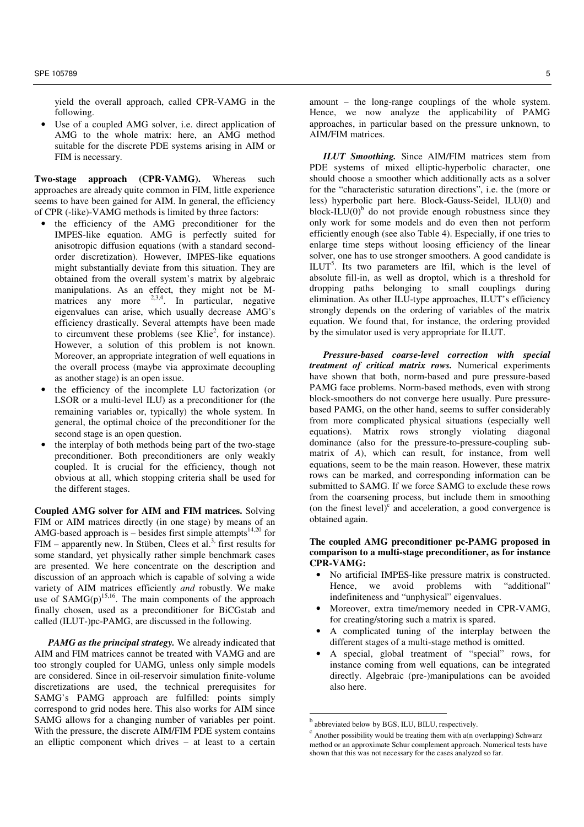yield the overall approach, called CPR-VAMG in the following.

Use of a coupled AMG solver, i.e. direct application of AMG to the whole matrix: here, an AMG method suitable for the discrete PDE systems arising in AIM or FIM is necessary.

**Two-stage approach (CPR-VAMG).** Whereas such approaches are already quite common in FIM, little experience seems to have been gained for AIM. In general, the efficiency of CPR (-like)-VAMG methods is limited by three factors:

- the efficiency of the AMG preconditioner for the IMPES-like equation. AMG is perfectly suited for anisotropic diffusion equations (with a standard secondorder discretization). However, IMPES-like equations might substantially deviate from this situation. They are obtained from the overall system's matrix by algebraic manipulations. As an effect, they might not be Mmatrices any more  $2,3,4$ . In particular, negative eigenvalues can arise, which usually decrease AMG's efficiency drastically. Several attempts have been made to circumvent these problems (see Klie<sup>2</sup>, for instance). However, a solution of this problem is not known. Moreover, an appropriate integration of well equations in the overall process (maybe via approximate decoupling as another stage) is an open issue.
- the efficiency of the incomplete LU factorization (or LSOR or a multi-level ILU) as a preconditioner for (the remaining variables or, typically) the whole system. In general, the optimal choice of the preconditioner for the second stage is an open question.
- the interplay of both methods being part of the two-stage preconditioner. Both preconditioners are only weakly coupled. It is crucial for the efficiency, though not obvious at all, which stopping criteria shall be used for the different stages.

**Coupled AMG solver for AIM and FIM matrices.** Solving FIM or AIM matrices directly (in one stage) by means of an AMG-based approach is – besides first simple attempts $14,20$  for  $FIM$  – apparently new. In Stüben, Clees et al.<sup>3,</sup> first results for some standard, yet physically rather simple benchmark cases are presented. We here concentrate on the description and discussion of an approach which is capable of solving a wide variety of AIM matrices efficiently *and* robustly. We make use of  $SAMG(p)^{15,16}$ . The main components of the approach finally chosen, used as a preconditioner for BiCGstab and called (ILUT-)pc-PAMG, are discussed in the following.

*PAMG as the principal strategy.* We already indicated that AIM and FIM matrices cannot be treated with VAMG and are too strongly coupled for UAMG, unless only simple models are considered. Since in oil-reservoir simulation finite-volume discretizations are used, the technical prerequisites for SAMG's PAMG approach are fulfilled: points simply correspond to grid nodes here. This also works for AIM since SAMG allows for a changing number of variables per point. With the pressure, the discrete AIM/FIM PDE system contains an elliptic component which drives – at least to a certain amount – the long-range couplings of the whole system. Hence, we now analyze the applicability of PAMG approaches, in particular based on the pressure unknown, to AIM/FIM matrices.

*ILUT Smoothing.* Since AIM/FIM matrices stem from PDE systems of mixed elliptic-hyperbolic character, one should choose a smoother which additionally acts as a solver for the "characteristic saturation directions", i.e. the (more or less) hyperbolic part here. Block-Gauss-Seidel, ILU(0) and block-ILU(0) $<sup>b</sup>$  do not provide enough robustness since they</sup> only work for some models and do even then not perform efficiently enough (see also Table 4). Especially, if one tries to enlarge time steps without loosing efficiency of the linear solver, one has to use stronger smoothers. A good candidate is ILUT<sup>5</sup>. Its two parameters are lfil, which is the level of absolute fill-in, as well as droptol, which is a threshold for dropping paths belonging to small couplings during elimination. As other ILU-type approaches, ILUT's efficiency strongly depends on the ordering of variables of the matrix equation. We found that, for instance, the ordering provided by the simulator used is very appropriate for ILUT.

*Pressure-based coarse-level correction with special treatment of critical matrix rows.* Numerical experiments have shown that both, norm-based and pure pressure-based PAMG face problems. Norm-based methods, even with strong block-smoothers do not converge here usually. Pure pressurebased PAMG, on the other hand, seems to suffer considerably from more complicated physical situations (especially well equations). Matrix rows strongly violating diagonal dominance (also for the pressure-to-pressure-coupling submatrix of *A*), which can result, for instance, from well equations, seem to be the main reason. However, these matrix rows can be marked, and corresponding information can be submitted to SAMG. If we force SAMG to exclude these rows from the coarsening process, but include them in smoothing (on the finest level) $\epsilon$  and acceleration, a good convergence is obtained again.

## **The coupled AMG preconditioner pc-PAMG proposed in comparison to a multi-stage preconditioner, as for instance CPR-VAMG:**

- No artificial IMPES-like pressure matrix is constructed. Hence, we avoid problems with "additional" indefiniteness and "unphysical" eigenvalues.
- Moreover, extra time/memory needed in CPR-VAMG, for creating/storing such a matrix is spared.
- A complicated tuning of the interplay between the different stages of a multi-stage method is omitted.
- A special, global treatment of "special" rows, for instance coming from well equations, can be integrated directly. Algebraic (pre-)manipulations can be avoided also here.

 $\overline{a}$ 

<sup>&</sup>lt;sup>b</sup> abbreviated below by BGS, ILU, BILU, respectively.

 $\epsilon$  Another possibility would be treating them with a(n overlapping) Schwarz method or an approximate Schur complement approach. Numerical tests have shown that this was not necessary for the cases analyzed so far.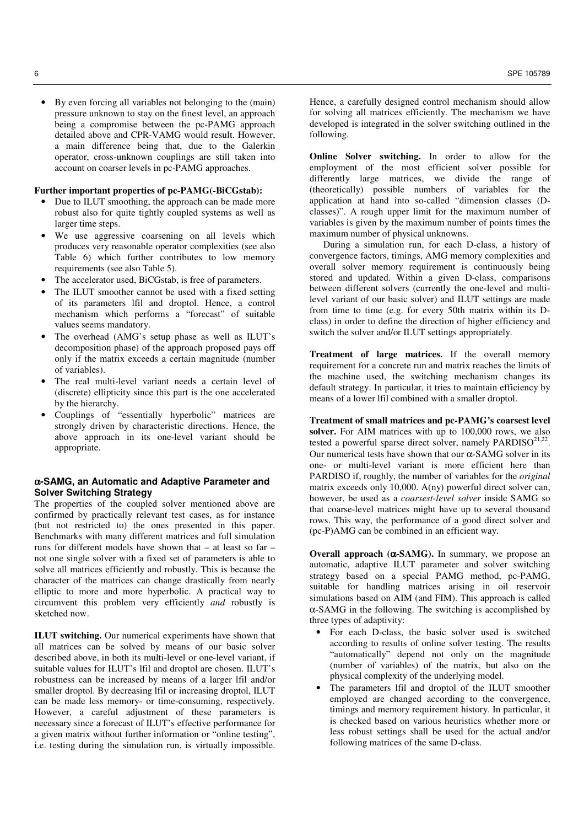• By even forcing all variables not belonging to the (main) pressure unknown to stay on the finest level, an approach being a compromise between the pc-PAMG approach detailed above and CPR-VAMG would result. However, a main difference being that, due to the Galerkin operator, cross-unknown couplings are still taken into account on coarser levels in pc-PAMG approaches.

## **Further important properties of pc-PAMG(-BiCGstab):**

- Due to ILUT smoothing, the approach can be made more robust also for quite tightly coupled systems as well as larger time steps.
- We use aggressive coarsening on all levels which produces very reasonable operator complexities (see also Table 6) which further contributes to low memory requirements (see also Table 5).
- The accelerator used, BiCGstab, is free of parameters.
- The ILUT smoother cannot be used with a fixed setting of its parameters lfil and droptol. Hence, a control mechanism which performs a "forecast" of suitable values seems mandatory.
- The overhead (AMG's setup phase as well as ILUT's decomposition phase) of the approach proposed pays off only if the matrix exceeds a certain magnitude (number of variables).
- The real multi-level variant needs a certain level of (discrete) ellipticity since this part is the one accelerated by the hierarchy.
- Couplings of "essentially hyperbolic" matrices are strongly driven by characteristic directions. Hence, the above approach in its one-level variant should be appropriate.

## α**-SAMG, an Automatic and Adaptive Parameter and Solver Switching Strategy**

The properties of the coupled solver mentioned above are confirmed by practically relevant test cases, as for instance (but not restricted to) the ones presented in this paper. Benchmarks with many different matrices and full simulation runs for different models have shown that – at least so far – not one single solver with a fixed set of parameters is able to solve all matrices efficiently and robustly. This is because the character of the matrices can change drastically from nearly elliptic to more and more hyperbolic. A practical way to circumvent this problem very efficiently *and* robustly is sketched now.

**ILUT switching.** Our numerical experiments have shown that all matrices can be solved by means of our basic solver described above, in both its multi-level or one-level variant, if suitable values for ILUT's lfil and droptol are chosen. ILUT's robustness can be increased by means of a larger lfil and/or smaller droptol. By decreasing lfil or increasing droptol, ILUT can be made less memory- or time-consuming, respectively. However, a careful adjustment of these parameters is necessary since a forecast of ILUT's effective performance for a given matrix without further information or "online testing", i.e. testing during the simulation run, is virtually impossible.

Hence, a carefully designed control mechanism should allow for solving all matrices efficiently. The mechanism we have developed is integrated in the solver switching outlined in the following.

**Online Solver switching.** In order to allow for the employment of the most efficient solver possible for differently large matrices, we divide the range of (theoretically) possible numbers of variables for the application at hand into so-called "dimension classes (Dclasses)". A rough upper limit for the maximum number of variables is given by the maximum number of points times the maximum number of physical unknowns.

During a simulation run, for each D-class, a history of convergence factors, timings, AMG memory complexities and overall solver memory requirement is continuously being stored and updated. Within a given D-class, comparisons between different solvers (currently the one-level and multilevel variant of our basic solver) and ILUT settings are made from time to time (e.g. for every 50th matrix within its Dclass) in order to define the direction of higher efficiency and switch the solver and/or ILUT settings appropriately.

**Treatment of large matrices.** If the overall memory requirement for a concrete run and matrix reaches the limits of the machine used, the switching mechanism changes its default strategy. In particular, it tries to maintain efficiency by means of a lower lfil combined with a smaller droptol.

**Treatment of small matrices and pc-PAMG's coarsest level solver.** For AIM matrices with up to 100,000 rows, we also tested a powerful sparse direct solver, namely PARDISO $^{21,22}$ . Our numerical tests have shown that our α-SAMG solver in its one- or multi-level variant is more efficient here than PARDISO if, roughly, the number of variables for the *original* matrix exceeds only 10,000. A(ny) powerful direct solver can, however, be used as a *coarsest-level solver* inside SAMG so that coarse-level matrices might have up to several thousand rows. This way, the performance of a good direct solver and (pc-P)AMG can be combined in an efficient way.

**Overall approach (**α**-SAMG).** In summary, we propose an automatic, adaptive ILUT parameter and solver switching strategy based on a special PAMG method, pc-PAMG, suitable for handling matrices arising in oil reservoir simulations based on AIM (and FIM). This approach is called α-SAMG in the following. The switching is accomplished by three types of adaptivity:

- For each D-class, the basic solver used is switched according to results of online solver testing. The results "automatically" depend not only on the magnitude (number of variables) of the matrix, but also on the physical complexity of the underlying model.
- The parameters lfil and droptol of the ILUT smoother employed are changed according to the convergence, timings and memory requirement history. In particular, it is checked based on various heuristics whether more or less robust settings shall be used for the actual and/or following matrices of the same D-class.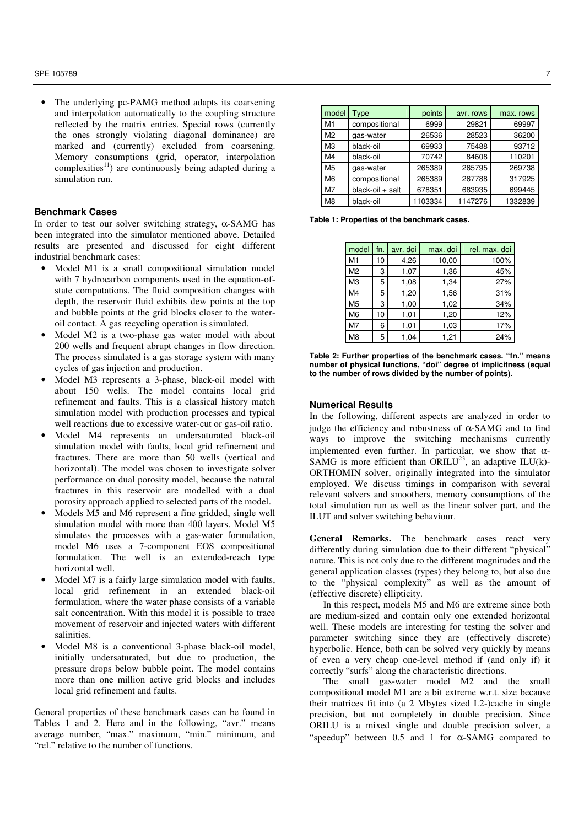The underlying pc-PAMG method adapts its coarsening and interpolation automatically to the coupling structure reflected by the matrix entries. Special rows (currently the ones strongly violating diagonal dominance) are marked and (currently) excluded from coarsening. Memory consumptions (grid, operator, interpolation complexities<sup>11</sup>) are continuously being adapted during a simulation run.

## **Benchmark Cases**

In order to test our solver switching strategy,  $\alpha$ -SAMG has been integrated into the simulator mentioned above. Detailed results are presented and discussed for eight different industrial benchmark cases:

- Model M1 is a small compositional simulation model with 7 hydrocarbon components used in the equation-ofstate computations. The fluid composition changes with depth, the reservoir fluid exhibits dew points at the top and bubble points at the grid blocks closer to the wateroil contact. A gas recycling operation is simulated.
- Model M2 is a two-phase gas water model with about 200 wells and frequent abrupt changes in flow direction. The process simulated is a gas storage system with many cycles of gas injection and production.
- Model M3 represents a 3-phase, black-oil model with about 150 wells. The model contains local grid refinement and faults. This is a classical history match simulation model with production processes and typical well reactions due to excessive water-cut or gas-oil ratio.
- Model M4 represents an undersaturated black-oil simulation model with faults, local grid refinement and fractures. There are more than 50 wells (vertical and horizontal). The model was chosen to investigate solver performance on dual porosity model, because the natural fractures in this reservoir are modelled with a dual porosity approach applied to selected parts of the model.
- Models M5 and M6 represent a fine gridded, single well simulation model with more than 400 layers. Model M5 simulates the processes with a gas-water formulation, model M6 uses a 7-component EOS compositional formulation. The well is an extended-reach type horizontal well.
- Model M7 is a fairly large simulation model with faults, local grid refinement in an extended black-oil formulation, where the water phase consists of a variable salt concentration. With this model it is possible to trace movement of reservoir and injected waters with different salinities.
- Model M8 is a conventional 3-phase black-oil model, initially undersaturated, but due to production, the pressure drops below bubble point. The model contains more than one million active grid blocks and includes local grid refinement and faults.

General properties of these benchmark cases can be found in Tables 1 and 2. Here and in the following, "avr." means average number, "max." maximum, "min." minimum, and "rel." relative to the number of functions.

| model          | <b>Type</b>      | points | avr. rows | max. rows |
|----------------|------------------|--------|-----------|-----------|
| M <sub>1</sub> | compositional    | 6999   | 29821     | 69997     |
| M <sub>2</sub> | gas-water        | 26536  | 28523     | 36200     |
| M <sub>3</sub> | black-oil        | 69933  | 75488     | 93712     |
| M4             | black-oil        | 70742  | 84608     | 110201    |
| M <sub>5</sub> | gas-water        | 265389 | 265795    | 269738    |
| M <sub>6</sub> | compositional    | 265389 | 267788    | 317925    |
| M7             | black-oil + salt | 678351 | 683935    | 699445    |
| M8             | black-oil        | 103334 | 1147276   | 1332839   |

**Table 1: Properties of the benchmark cases.** 

| model          | fn. | avr. doi | max. doi | rel. max. doi |
|----------------|-----|----------|----------|---------------|
| M1             | 10  | 4,26     | 10,00    | 100%          |
| M <sub>2</sub> | 3   | 1,07     | 1,36     | 45%           |
| M <sub>3</sub> | 5   | 1,08     | 1,34     | 27%           |
| M <sub>4</sub> | 5   | 1,20     | 1,56     | 31%           |
| M <sub>5</sub> | 3   | 1,00     | 1,02     | 34%           |
| M <sub>6</sub> | 10  | 1,01     | 1,20     | 12%           |
| M <sub>7</sub> | 6   | 1,01     | 1,03     | 17%           |
| M <sub>8</sub> | 5   | 1,04     | 1,21     | 24%           |

**Table 2: Further properties of the benchmark cases. "fn." means number of physical functions, "doi" degree of implicitness (equal to the number of rows divided by the number of points).** 

## **Numerical Results**

In the following, different aspects are analyzed in order to judge the efficiency and robustness of  $\alpha$ -SAMG and to find ways to improve the switching mechanisms currently implemented even further. In particular, we show that  $\alpha$ -SAMG is more efficient than ORILU<sup>23</sup>, an adaptive ILU(k)-ORTHOMIN solver, originally integrated into the simulator employed. We discuss timings in comparison with several relevant solvers and smoothers, memory consumptions of the total simulation run as well as the linear solver part, and the ILUT and solver switching behaviour.

**General Remarks.** The benchmark cases react very differently during simulation due to their different "physical" nature. This is not only due to the different magnitudes and the general application classes (types) they belong to, but also due to the "physical complexity" as well as the amount of (effective discrete) ellipticity.

In this respect, models M5 and M6 are extreme since both are medium-sized and contain only one extended horizontal well. These models are interesting for testing the solver and parameter switching since they are (effectively discrete) hyperbolic. Hence, both can be solved very quickly by means of even a very cheap one-level method if (and only if) it correctly "surfs" along the characteristic directions.

The small gas-water model M2 and the small compositional model M1 are a bit extreme w.r.t. size because their matrices fit into (a 2 Mbytes sized L2-)cache in single precision, but not completely in double precision. Since ORILU is a mixed single and double precision solver, a "speedup" between  $0.5$  and 1 for  $\alpha$ -SAMG compared to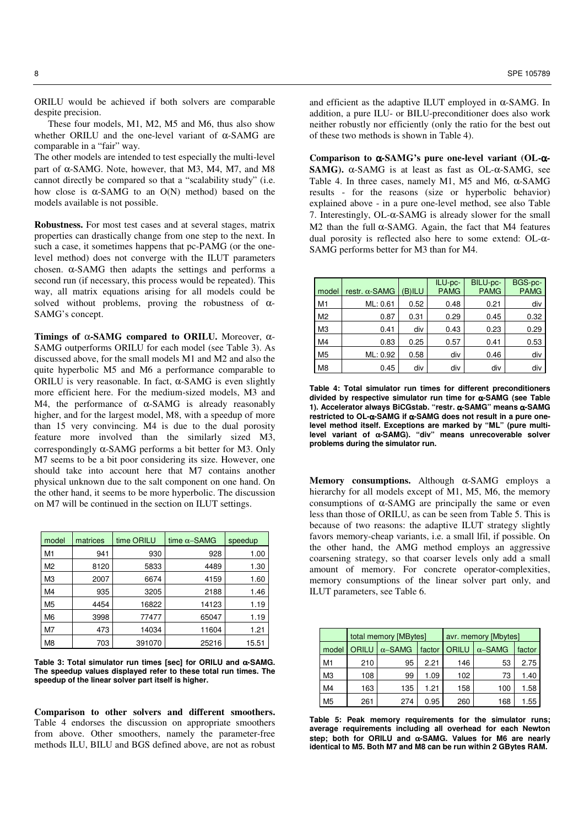ORILU would be achieved if both solvers are comparable despite precision.

These four models, M1, M2, M5 and M6, thus also show whether ORILU and the one-level variant of  $\alpha$ -SAMG are comparable in a "fair" way.

The other models are intended to test especially the multi-level part of α-SAMG. Note, however, that M3, M4, M7, and M8 cannot directly be compared so that a "scalability study" (i.e. how close is  $\alpha$ -SAMG to an O(N) method) based on the models available is not possible.

**Robustness.** For most test cases and at several stages, matrix properties can drastically change from one step to the next. In such a case, it sometimes happens that pc-PAMG (or the onelevel method) does not converge with the ILUT parameters chosen. α-SAMG then adapts the settings and performs a second run (if necessary, this process would be repeated). This way, all matrix equations arising for all models could be solved without problems, proving the robustness of  $\alpha$ -SAMG's concept.

**Timings of** α**-SAMG compared to ORILU.** Moreover, α-SAMG outperforms ORILU for each model (see Table 3). As discussed above, for the small models M1 and M2 and also the quite hyperbolic M5 and M6 a performance comparable to ORILU is very reasonable. In fact,  $\alpha$ -SAMG is even slightly more efficient here. For the medium-sized models, M3 and M4, the performance of  $\alpha$ -SAMG is already reasonably higher, and for the largest model, M8, with a speedup of more than 15 very convincing. M4 is due to the dual porosity feature more involved than the similarly sized M3, correspondingly α-SAMG performs a bit better for M3. Only M7 seems to be a bit poor considering its size. However, one should take into account here that M7 contains another physical unknown due to the salt component on one hand. On the other hand, it seems to be more hyperbolic. The discussion on M7 will be continued in the section on ILUT settings.

| model          | matrices | time ORILU | time $\alpha$ -SAMG | speedup |
|----------------|----------|------------|---------------------|---------|
| M1             | 941      | 930        | 928                 | 1.00    |
| M <sub>2</sub> | 8120     | 5833       | 4489                | 1.30    |
| MЗ             | 2007     | 6674       | 4159                | 1.60    |
| M4             | 935      | 3205       | 2188                | 1.46    |
| M <sub>5</sub> | 4454     | 16822      | 14123               | 1.19    |
| M <sub>6</sub> | 3998     | 77477      | 65047               | 1.19    |
| M7             | 473      | 14034      | 11604               | 1.21    |
| M <sub>8</sub> | 703      | 391070     | 25216               | 15.51   |

**Table 3: Total simulator run times [sec] for ORILU and** α**-SAMG. The speedup values displayed refer to these total run times. The speedup of the linear solver part itself is higher.**

**Comparison to other solvers and different smoothers.** Table 4 endorses the discussion on appropriate smoothers from above. Other smoothers, namely the parameter-free methods ILU, BILU and BGS defined above, are not as robust and efficient as the adaptive ILUT employed in  $\alpha$ -SAMG. In addition, a pure ILU- or BILU-preconditioner does also work neither robustly nor efficiently (only the ratio for the best out of these two methods is shown in Table 4).

**Comparison to** α**-SAMG's pure one-level variant (OL-**α**-SAMG).** α-SAMG is at least as fast as OL-α-SAMG, see Table 4. In three cases, namely M1, M5 and M6, α-SAMG results - for the reasons (size or hyperbolic behavior) explained above - in a pure one-level method, see also Table 7. Interestingly, OL-α-SAMG is already slower for the small M2 than the full α-SAMG. Again, the fact that M4 features dual porosity is reflected also here to some extend: OL-α-SAMG performs better for M3 than for M4.

| model          | restr. $\alpha$ -SAMG | <b>BILU</b> | ILU-pc-<br><b>PAMG</b> | BILU-pc-<br><b>PAMG</b> | BGS-pc-<br><b>PAMG</b> |
|----------------|-----------------------|-------------|------------------------|-------------------------|------------------------|
| M1             | ML: 0.61              | 0.52        | 0.48                   | 0.21                    | div                    |
| M <sub>2</sub> | 0.87                  | 0.31        | 0.29                   | 0.45                    | 0.32                   |
| M <sub>3</sub> | 0.41                  | div         | 0.43                   | 0.23                    | 0.29                   |
| M4             | 0.83                  | 0.25        | 0.57                   | 0.41                    | 0.53                   |
| M <sub>5</sub> | ML: 0.92              | 0.58        | div                    | 0.46                    | div                    |
| M <sub>8</sub> | 0.45                  | div         | div                    | div                     | div                    |

**Table 4: Total simulator run times for different preconditioners divided by respective simulator run time for** α**-SAMG (see Table 1). Accelerator always BiCGstab. "restr.** α**-SAMG" means** α**-SAMG restricted to OL-**α**-SAMG if** α**-SAMG does not result in a pure onelevel method itself. Exceptions are marked by "ML" (pure multilevel variant of** α**-SAMG). "div" means unrecoverable solver problems during the simulator run.** 

**Memory consumptions.** Although α-SAMG employs a hierarchy for all models except of M1, M5, M6, the memory consumptions of  $\alpha$ -SAMG are principally the same or even less than those of ORILU, as can be seen from Table 5. This is because of two reasons: the adaptive ILUT strategy slightly favors memory-cheap variants, i.e. a small lfil, if possible. On the other hand, the AMG method employs an aggressive coarsening strategy, so that coarser levels only add a small amount of memory. For concrete operator-complexities, memory consumptions of the linear solver part only, and ILUT parameters, see Table 6.

|                |              | total memory [MBytes] |        | avr. memory [Mbytes] |                |        |  |
|----------------|--------------|-----------------------|--------|----------------------|----------------|--------|--|
| model          | <b>ORILU</b> | $\alpha$ -SAMG        | factor | ORILU                | $\alpha$ -SAMG | factor |  |
| M <sub>1</sub> | 210          | 95                    | 2.21   | 146                  | 53             | 2.75   |  |
| M <sub>3</sub> | 108          | 99                    | 1.09   | 102                  | 73             | 1.40   |  |
| M4             | 163          | 135                   | 1.21   | 158                  | 100            | 1.58   |  |
| M <sub>5</sub> | 261          | 274                   | 0.95   | 260                  | 168            | 1.55   |  |

**Table 5: Peak memory requirements for the simulator runs; average requirements including all overhead for each Newton step; both for ORILU and** α**-SAMG. Values for M6 are nearly identical to M5. Both M7 and M8 can be run within 2 GBytes RAM.**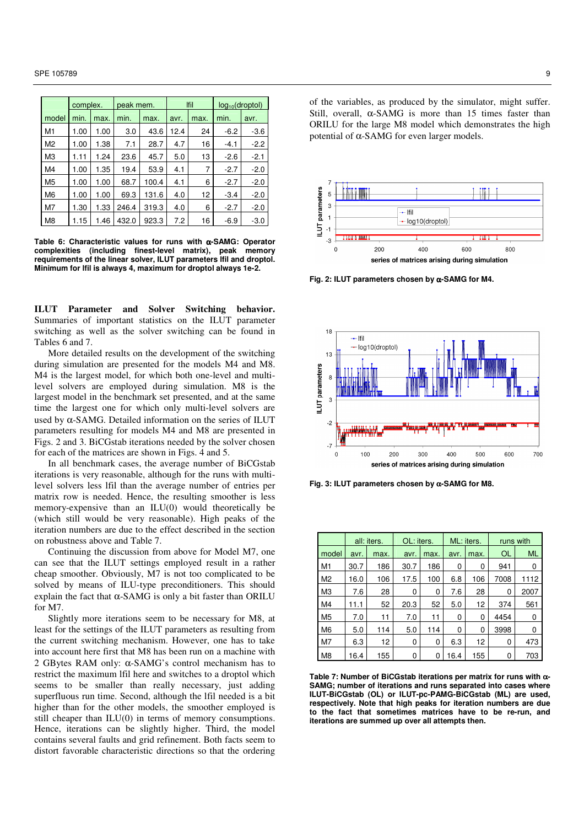|                | complex. |      | peak mem. |       | Ifil |      | $log_{10}(droptol)$ |        |
|----------------|----------|------|-----------|-------|------|------|---------------------|--------|
| model          | min.     | max. | min.      | max.  | avr. | max. | min.                | avr.   |
| M <sub>1</sub> | 1.00     | 1.00 | 3.0       | 43.6  | 12.4 | 24   | $-6.2$              | $-3.6$ |
| M <sub>2</sub> | 1.00     | 1.38 | 7.1       | 28.7  | 4.7  | 16   | $-4.1$              | $-2.2$ |
| MЗ             | 1.11     | 1.24 | 23.6      | 45.7  | 5.0  | 13   | $-2.6$              | $-2.1$ |
| M4             | 1.00     | 1.35 | 19.4      | 53.9  | 4.1  | 7    | $-2.7$              | $-2.0$ |
| M <sub>5</sub> | 1.00     | 1.00 | 68.7      | 100.4 | 4.1  | 6    | $-2.7$              | $-2.0$ |
| M <sub>6</sub> | 1.00     | 1.00 | 69.3      | 131.6 | 4.0  | 12   | $-3.4$              | $-2.0$ |
| M7             | 1.30     | 1.33 | 246.4     | 319.3 | 4.0  | 6    | $-2.7$              | $-2.0$ |
| M <sub>8</sub> | 1.15     | 1.46 | 432.0     | 923.3 | 7.2  | 16   | $-6.9$              | $-3.0$ |

**Table 6: Characteristic values for runs with** α**-SAMG: Operator complexities (including finest-level matrix), peak memory requirements of the linear solver, ILUT parameters lfil and droptol. Minimum for lfil is always 4, maximum for droptol always 1e-2.** 

**ILUT Parameter and Solver Switching behavior.** Summaries of important statistics on the ILUT parameter switching as well as the solver switching can be found in Tables 6 and 7.

More detailed results on the development of the switching during simulation are presented for the models M4 and M8. M4 is the largest model, for which both one-level and multilevel solvers are employed during simulation. M8 is the largest model in the benchmark set presented, and at the same time the largest one for which only multi-level solvers are used by α-SAMG. Detailed information on the series of ILUT parameters resulting for models M4 and M8 are presented in Figs. 2 and 3. BiCGstab iterations needed by the solver chosen for each of the matrices are shown in Figs. 4 and 5.

In all benchmark cases, the average number of BiCGstab iterations is very reasonable, although for the runs with multilevel solvers less lfil than the average number of entries per matrix row is needed. Hence, the resulting smoother is less memory-expensive than an ILU(0) would theoretically be (which still would be very reasonable). High peaks of the iteration numbers are due to the effect described in the section on robustness above and Table 7.

Continuing the discussion from above for Model M7, one can see that the ILUT settings employed result in a rather cheap smoother. Obviously, M7 is not too complicated to be solved by means of ILU-type preconditioners. This should explain the fact that  $\alpha$ -SAMG is only a bit faster than ORILU for M7.

Slightly more iterations seem to be necessary for M8, at least for the settings of the ILUT parameters as resulting from the current switching mechanism. However, one has to take into account here first that M8 has been run on a machine with 2 GBytes RAM only: α-SAMG's control mechanism has to restrict the maximum lfil here and switches to a droptol which seems to be smaller than really necessary, just adding superfluous run time. Second, although the lfil needed is a bit higher than for the other models, the smoother employed is still cheaper than ILU(0) in terms of memory consumptions. Hence, iterations can be slightly higher. Third, the model contains several faults and grid refinement. Both facts seem to distort favorable characteristic directions so that the ordering of the variables, as produced by the simulator, might suffer. Still, overall,  $\alpha$ -SAMG is more than 15 times faster than ORILU for the large M8 model which demonstrates the high potential of  $α$ -SAMG for even larger models.



**Fig. 2: ILUT parameters chosen by** α**-SAMG for M4.**



**Fig. 3: ILUT parameters chosen by** α**-SAMG for M8.** 

|                |      | all: iters. | OL: iters. |      | ML: iters. |      | runs with |           |
|----------------|------|-------------|------------|------|------------|------|-----------|-----------|
| model          | avr. | max.        | avr.       | max. | avr.       | max. | OL        | <b>ML</b> |
| M1             | 30.7 | 186         | 30.7       | 186  | 0          | 0    | 941       | 0         |
| M <sub>2</sub> | 16.0 | 106         | 17.5       | 100  | 6.8        | 106  | 7008      | 1112      |
| MЗ             | 7.6  | 28          | 0          | 0    | 7.6        | 28   | 0         | 2007      |
| M4             | 11.1 | 52          | 20.3       | 52   | 5.0        | 12   | 374       | 561       |
| M <sub>5</sub> | 7.0  | 11          | 7.0        | 11   | 0          | 0    | 4454      | 0         |
| M <sub>6</sub> | 5.0  | 114         | 5.0        | 114  | 0          | 0    | 3998      | 0         |
| M7             | 6.3  | 12          | 0          | 0    | 6.3        | 12   | 0         | 473       |
| M <sub>8</sub> | 16.4 | 155         | 0          | 0    | 16.4       | 155  | 0         | 703       |

**Table 7: Number of BiCGstab iterations per matrix for runs with** α**-SAMG; number of iterations and runs separated into cases where ILUT-BiCGstab (OL) or ILUT-pc-PAMG-BiCGstab (ML) are used, respectively. Note that high peaks for iteration numbers are due to the fact that sometimes matrices have to be re-run, and iterations are summed up over all attempts then.**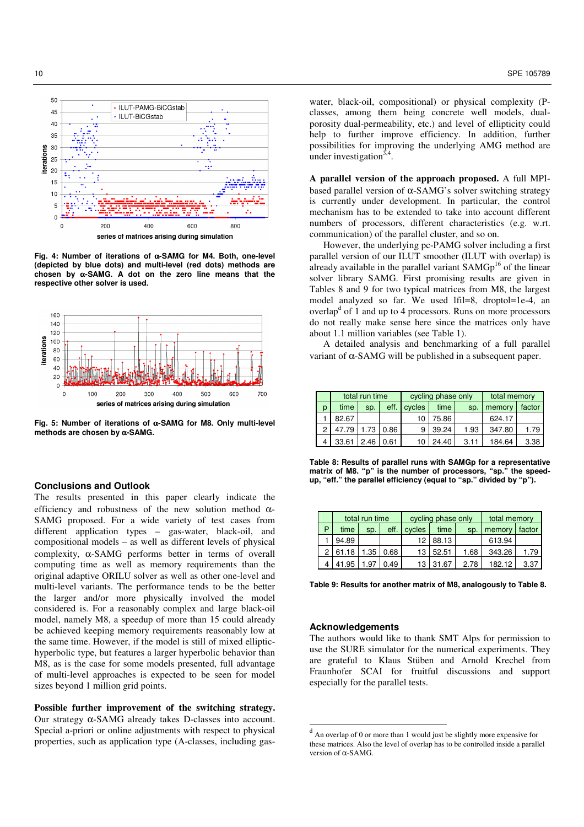

**Fig. 4: Number of iterations of** α**-SAMG for M4. Both, one-level (depicted by blue dots) and multi-level (red dots) methods are chosen by** α**-SAMG. A dot on the zero line means that the respective other solver is used.** 



**Fig. 5: Number of iterations of** α**-SAMG for M8. Only multi-level methods are chosen by** α**-SAMG.** 

#### **Conclusions and Outlook**

The results presented in this paper clearly indicate the efficiency and robustness of the new solution method  $\alpha$ -SAMG proposed. For a wide variety of test cases from different application types – gas-water, black-oil, and compositional models – as well as different levels of physical complexity, α-SAMG performs better in terms of overall computing time as well as memory requirements than the original adaptive ORILU solver as well as other one-level and multi-level variants. The performance tends to be the better the larger and/or more physically involved the model considered is. For a reasonably complex and large black-oil model, namely M8, a speedup of more than 15 could already be achieved keeping memory requirements reasonably low at the same time. However, if the model is still of mixed elliptichyperbolic type, but features a larger hyperbolic behavior than M8, as is the case for some models presented, full advantage of multi-level approaches is expected to be seen for model sizes beyond 1 million grid points.

**Possible further improvement of the switching strategy.**  Our strategy α-SAMG already takes D-classes into account. Special a-priori or online adjustments with respect to physical properties, such as application type (A-classes, including gaswater, black-oil, compositional) or physical complexity (Pclasses, among them being concrete well models, dualporosity dual-permeability, etc.) and level of ellipticity could help to further improve efficiency. In addition, further possibilities for improving the underlying AMG method are under investigation $^{3,4}$ .

**A parallel version of the approach proposed.** A full MPIbased parallel version of  $\alpha$ -SAMG's solver switching strategy is currently under development. In particular, the control mechanism has to be extended to take into account different numbers of processors, different characteristics (e.g. w.rt. communication) of the parallel cluster, and so on.

However, the underlying pc-PAMG solver including a first parallel version of our ILUT smoother (ILUT with overlap) is already available in the parallel variant  $SAMGp<sup>16</sup>$  of the linear solver library SAMG. First promising results are given in Tables 8 and 9 for two typical matrices from M8, the largest model analyzed so far. We used lfil=8, droptol=1e-4, an overlap<sup>d</sup> of 1 and up to 4 processors. Runs on more processors do not really make sense here since the matrices only have about 1.1 million variables (see Table 1).

A detailed analysis and benchmarking of a full parallel variant of α-SAMG will be published in a subsequent paper.

|   | total run time |      |      |        | cycling phase only | total memory |        |        |
|---|----------------|------|------|--------|--------------------|--------------|--------|--------|
| D | time           | SD.  | eff. | cycles | time               | SD.          | memory | factor |
|   | 82.67          |      |      | 10     | 75.86              |              | 624.17 |        |
| っ | 47.79          | 1.73 | 0.86 | 9      | 39.24              | 1.93         | 347.80 | 1.79   |
|   | 33.61          | 2.46 | 0.61 | 10     | 24.40              | 3.11         | 184.64 | 3.38   |

**Table 8: Results of parallel runs with SAMGp for a representative matrix of M8. "p" is the number of processors, "sp." the speedup, "eff." the parallel efficiency (equal to "sp." divided by "p").** 

|   | total run time |      |      |                 | cycling phase only | total memory |        |        |
|---|----------------|------|------|-----------------|--------------------|--------------|--------|--------|
| P | time           | SD.  | eff. | cycles          | time               | SD.          | memory | factor |
|   | 94.89          |      |      | 12 <sup>2</sup> | 88.13              |              | 613.94 |        |
| 2 | 61.18          | 1.35 | 0.68 | 13              | 152.51             | 1.68         | 343.26 | 1.79   |
|   | 41.95          | 1.97 | 0.49 | 13              | 31.67              | 2.78         | 182.12 | 3.37   |

**Table 9: Results for another matrix of M8, analogously to Table 8.** 

### **Acknowledgements**

The authors would like to thank SMT Alps for permission to use the SURE simulator for the numerical experiments. They are grateful to Klaus Stüben and Arnold Krechel from Fraunhofer SCAI for fruitful discussions and support especially for the parallel tests.

 d An overlap of 0 or more than 1 would just be slightly more expensive for these matrices. Also the level of overlap has to be controlled inside a parallel version of α-SAMG.